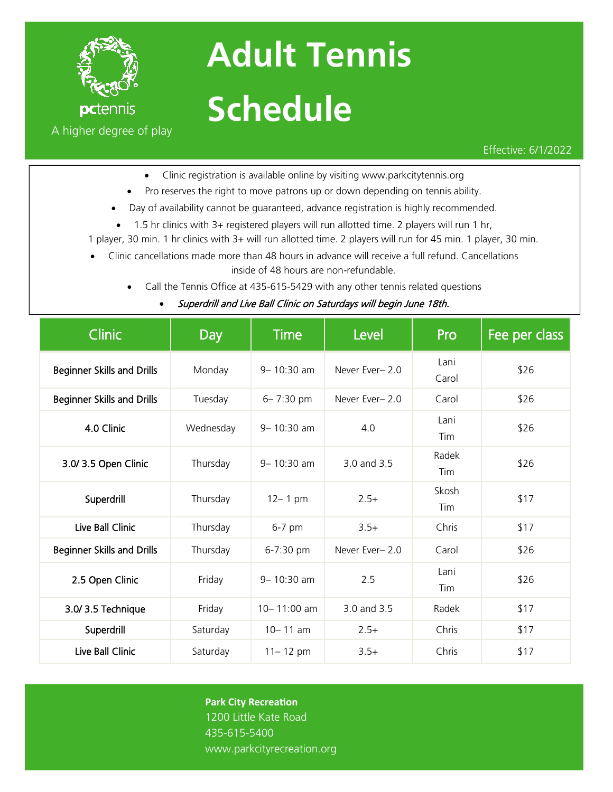

## **Adult Tennis Schedule**

Effective: 6/1/2022

- Clinic registration is available online by visiting www.parkcitytennis.org
- Pro reserves the right to move patrons up or down depending on tennis ability.
- Day of availability cannot be guaranteed, advance registration is highly recommended.
- 1.5 hr clinics with 3+ registered players will run allotted time. 2 players will run 1 hr,
- 1 player, 30 min. 1 hr clinics with 3+ will run allotted time. 2 players will run for 45 min. 1 player, 30 min.
- Clinic cancellations made more than 48 hours in advance will receive a full refund. Cancellations inside of 48 hours are non-refundable.
	- Call the Tennis Office at 435-615-5429 with any other tennis related questions
		- Superdrill and Live Ball Clinic on Saturdays will begin June 18th.

| <b>Clinic</b>                     | Day       | <b>Time</b>   | Level          | Pro           | Fee per class |
|-----------------------------------|-----------|---------------|----------------|---------------|---------------|
| <b>Beginner Skills and Drills</b> | Monday    | 9-10:30 am    | Never Ever-2.0 | Lani<br>Carol | \$26          |
| <b>Beginner Skills and Drills</b> | Tuesday   | $6 - 7:30$ pm | Never Ever-2.0 | Carol         | \$26          |
| 4.0 Clinic                        | Wednesday | 9-10:30 am    | 4.0            | Lani<br>Tim   | \$26          |
| 3.0/3.5 Open Clinic               | Thursday  | 9-10:30 am    | 3.0 and 3.5    | Radek<br>Tim  | \$26          |
| Superdrill                        | Thursday  | $12 - 1$ pm   | $2.5+$         | Skosh<br>Tim  | \$17          |
| Live Ball Clinic                  | Thursday  | $6-7$ pm      | $3.5+$         | Chris         | \$17          |
| <b>Beginner Skills and Drills</b> | Thursday  | 6-7:30 pm     | Never Ever-2.0 | Carol         | \$26          |
| 2.5 Open Clinic                   | Friday    | 9-10:30 am    | 2.5            | Lani<br>Tim   | \$26          |
| 3.0/3.5 Technique                 | Friday    | 10-11:00 am   | 3.0 and 3.5    | Radek         | \$17          |
| Superdrill                        | Saturday  | $10 - 11$ am  | $2.5+$         | Chris         | \$17          |
| Live Ball Clinic                  | Saturday  | $11 - 12$ pm  | $3.5+$         | Chris         | \$17          |

## **Park City Recreation**

1200 Little Kate Road 435-615-5400 www.parkcityrecreation.org